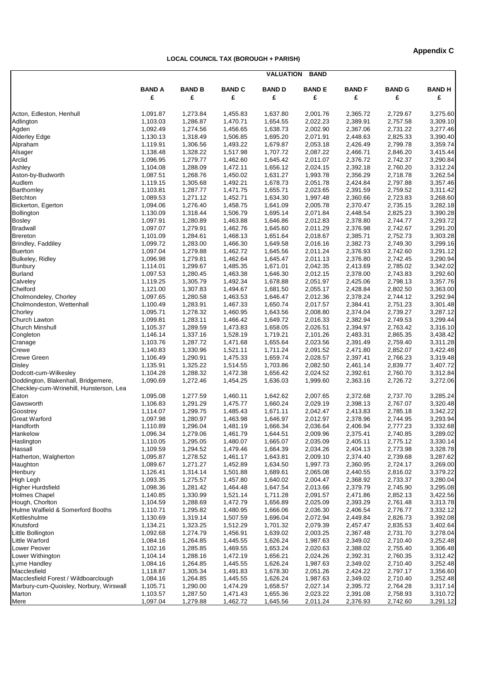## **LOCAL COUNCIL TAX (BOROUGH + PARISH)**

|                                         | <b>VALUATION</b><br><b>BAND</b> |                      |                      |                      |                      |                      |                      |               |  |
|-----------------------------------------|---------------------------------|----------------------|----------------------|----------------------|----------------------|----------------------|----------------------|---------------|--|
|                                         | <b>BAND A</b>                   | <b>BAND B</b>        | <b>BAND C</b>        | <b>BAND D</b>        | <b>BAND E</b>        | <b>BAND F</b>        | <b>BAND G</b>        | <b>BAND H</b> |  |
|                                         | £                               | £                    | £                    | £                    | £                    | £                    | £                    | £             |  |
| Acton, Edleston, Henhull                | 1,091.87                        | 1,273.84             | 1,455.83             | 1,637.80             | 2,001.76             | 2,365.72             | 2,729.67             | 3,275.60      |  |
| Adlington                               | 1,103.03                        | 1,286.87             | 1,470.71             | 1,654.55             | 2,022.23             | 2,389.91             | 2,757.58             | 3,309.10      |  |
| Agden                                   | 1,092.49                        | 1,274.56             | 1,456.65             | 1,638.73             | 2,002.90             | 2.367.06             | 2,731.22             | 3,277.46      |  |
| <b>Alderley Edge</b>                    | 1,130.13                        | 1,318.49             | 1,506.85             | 1,695.20             | 2,071.91             | 2,448.63             | 2,825.33             | 3,390.40      |  |
| Alpraham                                | 1,119.91                        | 1,306.56             | 1,493.22             | 1,679.87             | 2,053.18             | 2,426.49             | 2,799.78             | 3,359.74      |  |
| Alsager                                 | 1,138.48                        | 1,328.22             | 1,517.98             | 1,707.72             | 2,087.22             | 2,466.71             | 2,846.20             | 3,415.44      |  |
| Arclid                                  | 1,096.95                        | 1,279.77             | 1,462.60             | 1,645.42             | 2,011.07             | 2,376.72             | 2,742.37             | 3,290.84      |  |
| Ashley                                  | 1,104.08                        | 1,288.09             | 1,472.11             | 1,656.12             | 2,024.15             | 2,392.18             | 2,760.20             | 3,312.24      |  |
| Aston-by-Budworth                       | 1,087.51                        | 1,268.76             | 1,450.02             | 1,631.27             | 1,993.78             | 2,356.29             | 2,718.78             | 3,262.54      |  |
| Audlem                                  | 1,119.15                        | 1,305.68             | 1,492.21             | 1,678.73             | 2,051.78             | 2,424.84             | 2,797.88             | 3,357.46      |  |
| Barthomley                              | 1,103.81                        | 1,287.77             | 1,471.75             | 1,655.71             | 2,023.65             | 2,391.59             | 2,759.52             | 3,311.42      |  |
| Betchton                                | 1,089.53                        | 1,271.12             | 1,452.71             | 1,634.30             | 1,997.48             | 2,360.66             | 2,723.83             | 3,268.60      |  |
| Bickerton, Egerton                      | 1,094.06                        | 1,276.40             | 1,458.75             | 1,641.09             | 2,005.78             | 2,370.47             | 2,735.15             | 3,282.18      |  |
| Bollington                              | 1,130.09                        | 1,318.44             | 1,506.79             | 1,695.14             | 2,071.84             | 2,448.54             | 2,825.23             | 3,390.28      |  |
| <b>Bosley</b>                           | 1,097.91                        | 1,280.89             | 1,463.88             | 1,646.86             | 2,012.83             | 2,378.80             | 2,744.77             | 3,293.72      |  |
| <b>Bradwall</b>                         | 1,097.07                        | 1,279.91             | 1,462.76             | 1,645.60             | 2,011.29             | 2,376.98             | 2,742.67             | 3,291.20      |  |
| <b>Brereton</b>                         | 1,101.09                        | 1,284.61             | 1,468.13             | 1,651.64             | 2,018.67             | 2,385.71             | 2,752.73             | 3,303.28      |  |
| Brindley, Faddiley                      | 1,099.72                        | 1,283.00             | 1,466.30             | 1,649.58             | 2,016.16             | 2,382.73             | 2,749.30             | 3,299.16      |  |
| <b>Buerton</b>                          | 1,097.04                        | 1,279.88             | 1,462.72             | 1,645.56             | 2,011.24             | 2,376.93             | 2,742.60             | 3,291.12      |  |
| Bulkeley, Ridley                        | 1,096.98                        | 1,279.81             | 1,462.64             | 1,645.47             | 2,011.13             | 2,376.80             | 2,742.45             | 3,290.94      |  |
| Bunbury                                 | 1,114.01                        | 1,299.67             | 1,485.35             | 1,671.01             | 2,042.35             | 2,413.69             | 2,785.02             | 3,342.02      |  |
| <b>Burland</b>                          | 1,097.53                        | 1,280.45             | 1,463.38             | 1,646.30             | 2,012.15             | 2,378.00             | 2,743.83             | 3,292.60      |  |
| Calveley                                | 1,119.25                        | 1,305.79             | 1,492.34             | 1,678.88             | 2,051.97             | 2,425.06             | 2,798.13             | 3,357.76      |  |
| Chelford                                | 1,121.00                        | 1,307.83             | 1,494.67             | 1,681.50             | 2,055.17             | 2,428.84             | 2,802.50             | 3,363.00      |  |
| Cholmondeley, Chorley                   | 1,097.65                        | 1,280.58             | 1,463.53             | 1,646.47             | 2,012.36             | 2,378.24             | 2,744.12             | 3,292.94      |  |
| Cholmondeston, Wettenhall               | 1,100.49                        | 1,283.91             | 1,467.33             | 1,650.74             | 2,017.57             | 2,384.41             | 2,751.23             | 3,301.48      |  |
| Chorley                                 | 1,095.71                        | 1,278.32             | 1,460.95             | 1,643.56             | 2,008.80             | 2,374.04             | 2,739.27             | 3,287.12      |  |
| Church Lawton                           | 1,099.81                        | 1,283.11             | 1,466.42             | 1,649.72             | 2,016.33             | 2,382.94             | 2,749.53             | 3,299.44      |  |
|                                         |                                 | 1,289.59             | 1,473.83             |                      | 2,026.51             | 2,394.97             | 2,763.42             | 3,316.10      |  |
| <b>Church Minshull</b><br>Congleton     | 1,105.37<br>1,146.14            | 1,337.16             | 1,528.19             | 1,658.05<br>1,719.21 | 2,101.26             | 2,483.31             | 2,865.35             | 3,438.42      |  |
|                                         | 1,103.76                        | 1,287.72             | 1,471.68             | 1,655.64             | 2,023.56             | 2,391.49             | 2,759.40             | 3,311.28      |  |
| Cranage                                 |                                 |                      |                      |                      |                      |                      |                      | 3,422.48      |  |
| Crewe<br><b>Crewe Green</b>             | 1,140.83<br>1,106.49            | 1,330.96<br>1,290.91 | 1,521.11<br>1,475.33 | 1,711.24<br>1,659.74 | 2,091.52<br>2,028.57 | 2,471.80<br>2,397.41 | 2,852.07<br>2,766.23 | 3,319.48      |  |
|                                         |                                 |                      |                      |                      | 2,082.50             | 2,461.14             | 2,839.77             | 3,407.72      |  |
| <b>Disley</b><br>Dodcott-cum-Wilkesley  | 1,135.91<br>1,104.28            | 1,325.22<br>1,288.32 | 1,514.55<br>1,472.38 | 1,703.86<br>1,656.42 | 2,024.52             | 2,392.61             | 2,760.70             |               |  |
|                                         | 1,090.69                        |                      |                      |                      |                      | 2,363.16             |                      | 3,312.84      |  |
| Doddington, Blakenhall, Bridgemere,     |                                 | 1,272.46             | 1,454.25             | 1,636.03             | 1,999.60             |                      | 2,726.72             | 3,272.06      |  |
| Checkley-cum-Wrinehill, Hunsterson, Lea |                                 |                      |                      |                      |                      |                      |                      |               |  |
| Eaton                                   | 1,095.08                        | 1,277.59             | 1,460.11             | 1,642.62             | 2,007.65             | 2,372.68             | 2,737.70             | 3,285.24      |  |
| Gawsworth                               | 1,106.83                        | 1,291.29             | 1,475.77             | 1,660.24             | 2,029.19             | 2,398.13             | 2,767.07             | 3,320.48      |  |
| Goostrey                                | 1,114.07                        | 1,299.75             | 1,485.43             | 1,671.11             | 2,042.47             | 2,413.83             | 2,785.18             | 3,342.22      |  |
| <b>Great Warford</b>                    | 1,097.98                        | 1,280.97             | 1,463.98             | 1,646.97             | 2,012.97             | 2,378.96             | 2,744.95             | 3,293.94      |  |
| Handforth                               | 1,110.89                        | 1,296.04             | 1,481.19             | 1,666.34             | 2,036.64             | 2,406.94             | 2,777.23             | 3,332.68      |  |
| Hankelow                                | 1,096.34                        | 1,279.06             | 1,461.79             | 1,644.51             | 2,009.96             | 2,375.41             | 2,740.85             | 3,289.02      |  |
| Haslington                              | 1,110.05                        | 1,295.05             | 1,480.07             | 1,665.07             | 2,035.09             | 2,405.11             | 2,775.12             | 3,330.14      |  |
| Hassall                                 | 1,109.59                        | 1,294.52             | 1,479.46             | 1,664.39             | 2,034.26             | 2,404.13             | 2,773.98             | 3,328.78      |  |
| Hatherton, Walgherton                   | 1,095.87                        | 1,278.52             | 1,461.17             | 1,643.81             | 2,009.10             | 2,374.40             | 2,739.68             | 3,287.62      |  |
| Haughton                                | 1,089.67                        | 1,271.27             | 1,452.89             | 1,634.50             | 1,997.73             | 2,360.95             | 2,724.17             | 3,269.00      |  |
| Henbury                                 | 1,126.41                        | 1,314.14             | 1,501.88             | 1,689.61             | 2,065.08             | 2,440.55             | 2,816.02             | 3,379.22      |  |
| High Legh                               | 1,093.35                        | 1,275.57             | 1,457.80             | 1,640.02             | 2,004.47             | 2,368.92             | 2,733.37             | 3,280.04      |  |
| <b>Higher Hurdsfield</b>                | 1,098.36                        | 1,281.42             | 1,464.48             | 1,647.54             | 2,013.66             | 2,379.79             | 2,745.90             | 3,295.08      |  |
| <b>Holmes Chapel</b>                    | 1,140.85                        | 1,330.99             | 1,521.14             | 1,711.28             | 2,091.57             | 2,471.86             | 2,852.13             | 3,422.56      |  |
| Hough, Chorlton                         | 1,104.59                        | 1,288.69             | 1,472.79             | 1,656.89             | 2,025.09             | 2,393.29             | 2,761.48             | 3,313.78      |  |
| Hulme Walfield & Somerford Booths       | 1,110.71                        | 1,295.82             | 1,480.95             | 1,666.06             | 2,036.30             | 2,406.54             | 2,776.77             | 3,332.12      |  |
| Kettleshulme                            | 1,130.69                        | 1,319.14             | 1,507.59             | 1,696.04             | 2,072.94             | 2,449.84             | 2,826.73             | 3,392.08      |  |
| Knutsford                               | 1,134.21                        | 1,323.25             | 1,512.29             | 1,701.32             | 2,079.39             | 2,457.47             | 2,835.53             | 3,402.64      |  |
| Little Bollington                       | 1,092.68                        | 1,274.79             | 1,456.91             | 1,639.02             | 2,003.25             | 2,367.48             | 2,731.70             | 3,278.04      |  |
| Little Warford                          | 1,084.16                        | 1,264.85             | 1,445.55             | 1,626.24             | 1,987.63             | 2,349.02             | 2,710.40             | 3,252.48      |  |
| Lower Peover                            | 1,102.16                        | 1,285.85             | 1,469.55             | 1,653.24             | 2,020.63             | 2,388.02             | 2,755.40             | 3,306.48      |  |
| Lower Withington                        | 1,104.14                        | 1,288.16             | 1,472.19             | 1,656.21             | 2,024.26             | 2,392.31             | 2,760.35             | 3,312.42      |  |
| Lyme Handley                            | 1,084.16                        | 1,264.85             | 1,445.55             | 1,626.24             | 1,987.63             | 2,349.02             | 2,710.40             | 3,252.48      |  |
| Macclesfield                            | 1,118.87                        | 1,305.34             | 1,491.83             | 1,678.30             | 2,051.26             | 2,424.22             | 2,797.17             | 3,356.60      |  |
| Macclesfield Forest / Wildboarclough    | 1,084.16                        | 1,264.85             | 1,445.55             | 1,626.24             | 1,987.63             | 2,349.02             | 2,710.40             | 3,252.48      |  |
| Marbury-cum-Quoisley, Norbury, Wirswall | 1,105.71                        | 1,290.00             | 1,474.29             | 1,658.57             | 2,027.14             | 2,395.72             | 2,764.28             | 3,317.14      |  |
| Marton                                  | 1,103.57                        | 1,287.50             | 1,471.43             | 1,655.36             | 2,023.22             | 2,391.08             | 2,758.93             | 3,310.72      |  |
| Mere                                    | 1,097.04                        | 1,279.88             | 1,462.72             | 1,645.56             | 2,011.24             | 2,376.93             | 2,742.60             | 3,291.12      |  |